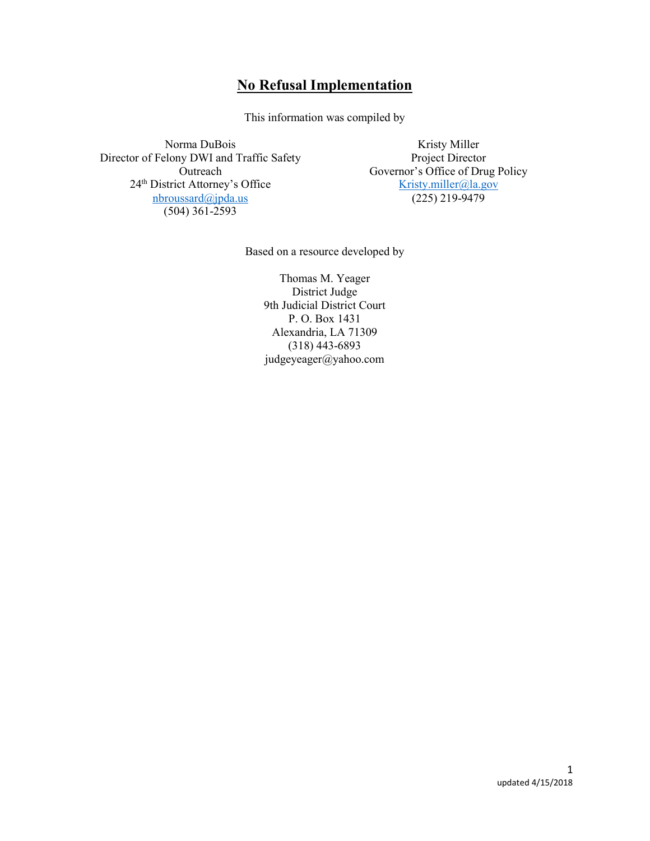# No Refusal Implementation

This information was compiled by

Norma DuBois Director of Felony DWI and Traffic Safety Outreach 24<sup>th</sup> District Attorney's Office nbroussard@jpda.us (504) 361-2593

Kristy Miller Project Director Governor's Office of Drug Policy Kristy.miller@la.gov (225) 219-9479

Based on a resource developed by

Thomas M. Yeager District Judge 9th Judicial District Court P. O. Box 1431 Alexandria, LA 71309 (318) 443-6893 judgeyeager@yahoo.com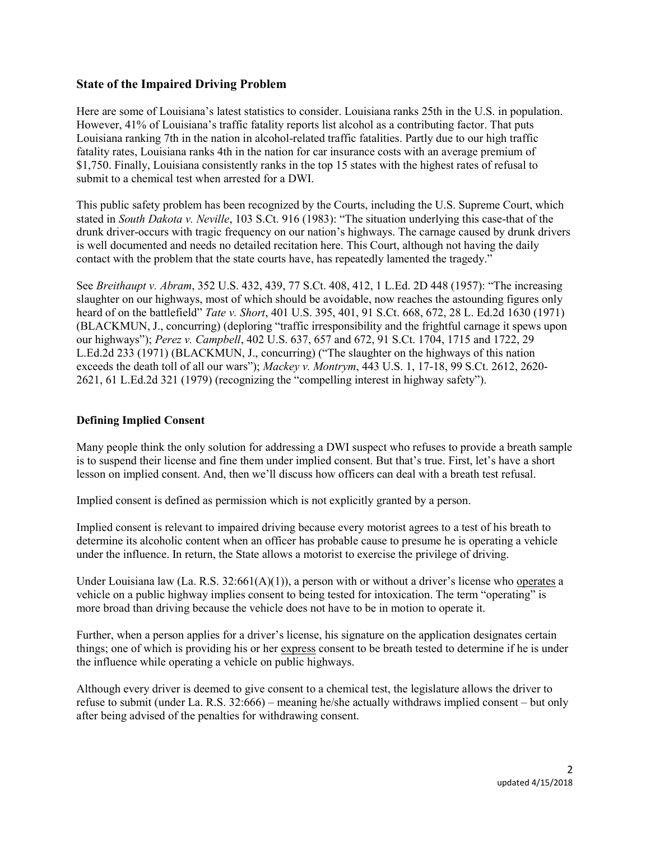# State of the Impaired Driving Problem

Here are some of Louisiana's latest statistics to consider. Louisiana ranks 25th in the U.S. in population. However, 41% of Louisiana's traffic fatality reports list alcohol as a contributing factor. That puts Louisiana ranking 7th in the nation in alcohol-related traffic fatalities. Partly due to our high traffic fatality rates, Louisiana ranks 4th in the nation for car insurance costs with an average premium of \$1,750. Finally, Louisiana consistently ranks in the top 15 states with the highest rates of refusal to submit to a chemical test when arrested for a DWI.

This public safety problem has been recognized by the Courts, including the U.S. Supreme Court, which stated in South Dakota v. Neville, 103 S.Ct. 916 (1983): "The situation underlying this case-that of the drunk driver-occurs with tragic frequency on our nation's highways. The carnage caused by drunk drivers is well documented and needs no detailed recitation here. This Court, although not having the daily contact with the problem that the state courts have, has repeatedly lamented the tragedy."

See Breithaupt v. Abram, 352 U.S. 432, 439, 77 S.Ct. 408, 412, 1 L.Ed. 2D 448 (1957): "The increasing slaughter on our highways, most of which should be avoidable, now reaches the astounding figures only heard of on the battlefield" *Tate v. Short*, 401 U.S. 395, 401, 91 S.Ct. 668, 672, 28 L. Ed.2d 1630 (1971) (BLACKMUN, J., concurring) (deploring "traffic irresponsibility and the frightful carnage it spews upon our highways"); Perez v. Campbell, 402 U.S. 637, 657 and 672, 91 S.Ct. 1704, 1715 and 1722, 29 L.Ed.2d 233 (1971) (BLACKMUN, J., concurring) ("The slaughter on the highways of this nation exceeds the death toll of all our wars"); Mackey v. Montrym, 443 U.S. 1, 17-18, 99 S.Ct. 2612, 2620- 2621, 61 L.Ed.2d 321 (1979) (recognizing the "compelling interest in highway safety").

#### Defining Implied Consent

Many people think the only solution for addressing a DWI suspect who refuses to provide a breath sample is to suspend their license and fine them under implied consent. But that's true. First, let's have a short lesson on implied consent. And, then we'll discuss how officers can deal with a breath test refusal.

Implied consent is defined as permission which is not explicitly granted by a person.

Implied consent is relevant to impaired driving because every motorist agrees to a test of his breath to determine its alcoholic content when an officer has probable cause to presume he is operating a vehicle under the influence. In return, the State allows a motorist to exercise the privilege of driving.

Under Louisiana law (La. R.S.  $32:661(A)(1)$ ), a person with or without a driver's license who operates a vehicle on a public highway implies consent to being tested for intoxication. The term "operating" is more broad than driving because the vehicle does not have to be in motion to operate it.

Further, when a person applies for a driver's license, his signature on the application designates certain things; one of which is providing his or her express consent to be breath tested to determine if he is under the influence while operating a vehicle on public highways.

Although every driver is deemed to give consent to a chemical test, the legislature allows the driver to refuse to submit (under La. R.S. 32:666) – meaning he/she actually withdraws implied consent – but only after being advised of the penalties for withdrawing consent.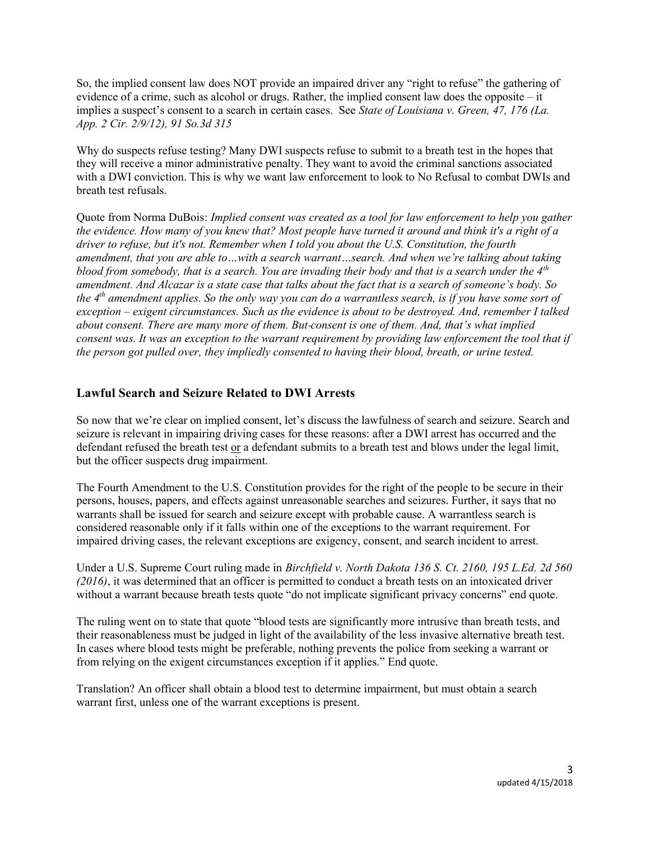So, the implied consent law does NOT provide an impaired driver any "right to refuse" the gathering of evidence of a crime, such as alcohol or drugs. Rather, the implied consent law does the opposite – it implies a suspect's consent to a search in certain cases. See State of Louisiana v. Green, 47, 176 (La. App. 2 Cir. 2/9/12), 91 So.3d 315

Why do suspects refuse testing? Many DWI suspects refuse to submit to a breath test in the hopes that they will receive a minor administrative penalty. They want to avoid the criminal sanctions associated with a DWI conviction. This is why we want law enforcement to look to No Refusal to combat DWIs and breath test refusals.

Quote from Norma DuBois: Implied consent was created as a tool for law enforcement to help you gather the evidence. How many of you knew that? Most people have turned it around and think it's a right of a driver to refuse, but it's not. Remember when I told you about the U.S. Constitution, the fourth amendment, that you are able to…with a search warrant…search. And when we're talking about taking blood from somebody, that is a search. You are invading their body and that is a search under the  $4<sup>th</sup>$ amendment. And Alcazar is a state case that talks about the fact that is a search of someone's body. So the  $4<sup>th</sup>$  amendment applies. So the only way you can do a warrantless search, is if you have some sort of exception – exigent circumstances. Such as the evidence is about to be destroyed. And, remember I talked about consent. There are many more of them. But consent is one of them. And, that's what implied consent was. It was an exception to the warrant requirement by providing law enforcement the tool that if the person got pulled over, they impliedly consented to having their blood, breath, or urine tested.

# Lawful Search and Seizure Related to DWI Arrests

So now that we're clear on implied consent, let's discuss the lawfulness of search and seizure. Search and seizure is relevant in impairing driving cases for these reasons: after a DWI arrest has occurred and the defendant refused the breath test or a defendant submits to a breath test and blows under the legal limit, but the officer suspects drug impairment.

The Fourth Amendment to the U.S. Constitution provides for the right of the people to be secure in their persons, houses, papers, and effects against unreasonable searches and seizures. Further, it says that no warrants shall be issued for search and seizure except with probable cause. A warrantless search is considered reasonable only if it falls within one of the exceptions to the warrant requirement. For impaired driving cases, the relevant exceptions are exigency, consent, and search incident to arrest.

Under a U.S. Supreme Court ruling made in Birchfield v. North Dakota 136 S. Ct. 2160, 195 L.Ed. 2d 560 (2016), it was determined that an officer is permitted to conduct a breath tests on an intoxicated driver without a warrant because breath tests quote "do not implicate significant privacy concerns" end quote.

The ruling went on to state that quote "blood tests are significantly more intrusive than breath tests, and their reasonableness must be judged in light of the availability of the less invasive alternative breath test. In cases where blood tests might be preferable, nothing prevents the police from seeking a warrant or from relying on the exigent circumstances exception if it applies." End quote.

Translation? An officer shall obtain a blood test to determine impairment, but must obtain a search warrant first, unless one of the warrant exceptions is present.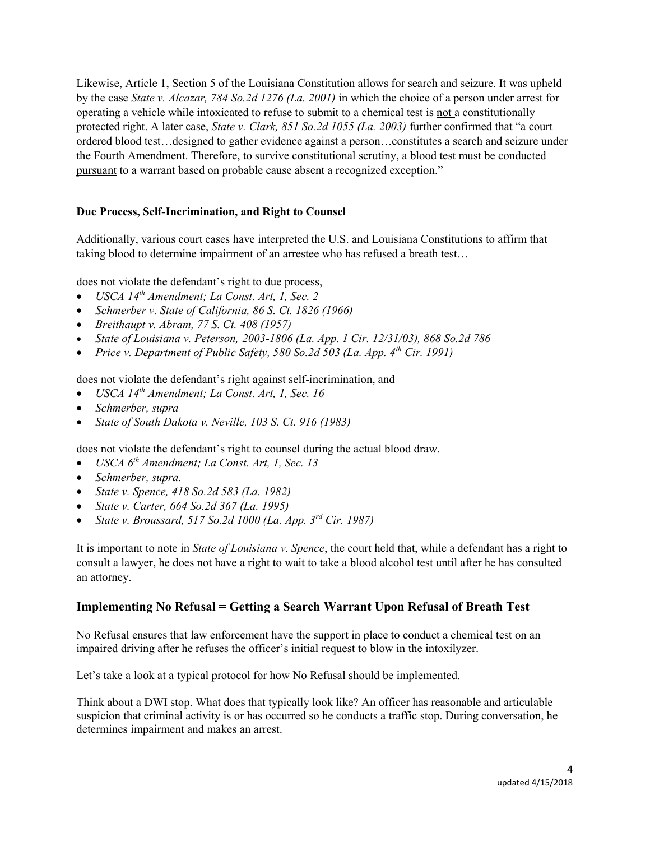Likewise, Article 1, Section 5 of the Louisiana Constitution allows for search and seizure. It was upheld by the case State v. Alcazar, 784 So.2d 1276 (La. 2001) in which the choice of a person under arrest for operating a vehicle while intoxicated to refuse to submit to a chemical test is not a constitutionally protected right. A later case, State v. Clark, 851 So.2d 1055 (La. 2003) further confirmed that "a court ordered blood test…designed to gather evidence against a person…constitutes a search and seizure under the Fourth Amendment. Therefore, to survive constitutional scrutiny, a blood test must be conducted pursuant to a warrant based on probable cause absent a recognized exception."

## Due Process, Self-Incrimination, and Right to Counsel

Additionally, various court cases have interpreted the U.S. and Louisiana Constitutions to affirm that taking blood to determine impairment of an arrestee who has refused a breath test…

does not violate the defendant's right to due process,

- USCA  $14^{th}$  Amendment; La Const. Art, 1, Sec. 2
- Schmerber v. State of California, 86 S. Ct. 1826 (1966)
- $\bullet$  Breithaupt v. Abram, 77 S. Ct. 408 (1957)
- State of Louisiana v. Peterson, 2003-1806 (La. App. 1 Cir. 12/31/03), 868 So.2d 786
- Price v. Department of Public Safety, 580 So.2d 503 (La. App.  $4^{th}$  Cir. 1991)

does not violate the defendant's right against self-incrimination, and

- $\bullet$  USCA 14<sup>th</sup> Amendment; La Const. Art, 1, Sec. 16
- Schmerber, supra
- State of South Dakota v. Neville, 103 S. Ct. 916 (1983)

does not violate the defendant's right to counsel during the actual blood draw.

- $\bullet$  USCA  $6<sup>th</sup>$  Amendment: La Const. Art, 1, Sec. 13
- Schmerber, supra.
- State v. Spence,  $418$  So.2d 583 (La. 1982)
- State v. Carter, 664 So.2d 367 (La. 1995)
- State v. Broussard, 517 So.2d 1000 (La. App. 3rd Cir. 1987)

It is important to note in *State of Louisiana v. Spence*, the court held that, while a defendant has a right to consult a lawyer, he does not have a right to wait to take a blood alcohol test until after he has consulted an attorney.

## Implementing No Refusal = Getting a Search Warrant Upon Refusal of Breath Test

No Refusal ensures that law enforcement have the support in place to conduct a chemical test on an impaired driving after he refuses the officer's initial request to blow in the intoxilyzer.

Let's take a look at a typical protocol for how No Refusal should be implemented.

Think about a DWI stop. What does that typically look like? An officer has reasonable and articulable suspicion that criminal activity is or has occurred so he conducts a traffic stop. During conversation, he determines impairment and makes an arrest.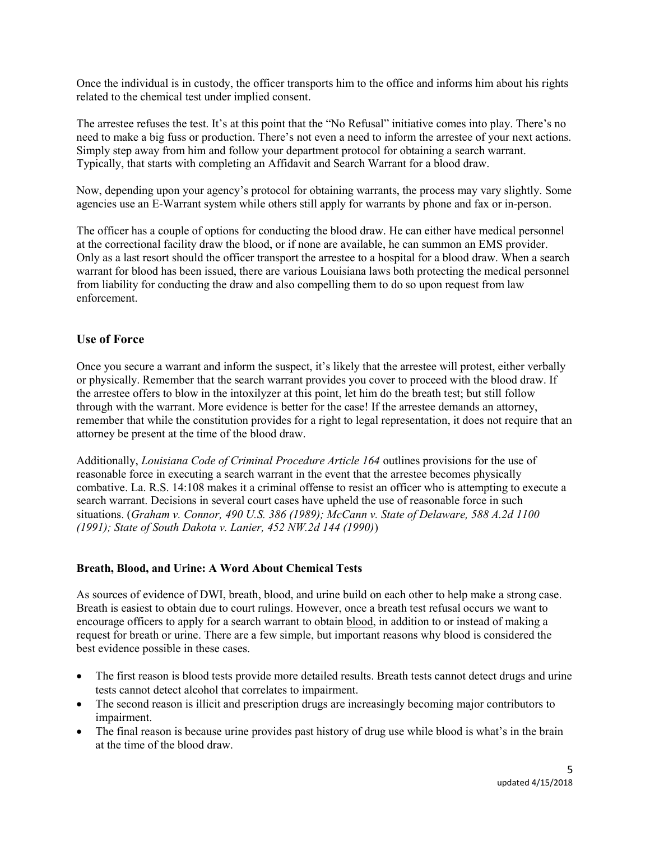Once the individual is in custody, the officer transports him to the office and informs him about his rights related to the chemical test under implied consent.

The arrestee refuses the test. It's at this point that the "No Refusal" initiative comes into play. There's no need to make a big fuss or production. There's not even a need to inform the arrestee of your next actions. Simply step away from him and follow your department protocol for obtaining a search warrant. Typically, that starts with completing an Affidavit and Search Warrant for a blood draw.

Now, depending upon your agency's protocol for obtaining warrants, the process may vary slightly. Some agencies use an E-Warrant system while others still apply for warrants by phone and fax or in-person.

The officer has a couple of options for conducting the blood draw. He can either have medical personnel at the correctional facility draw the blood, or if none are available, he can summon an EMS provider. Only as a last resort should the officer transport the arrestee to a hospital for a blood draw. When a search warrant for blood has been issued, there are various Louisiana laws both protecting the medical personnel from liability for conducting the draw and also compelling them to do so upon request from law enforcement.

# Use of Force

Once you secure a warrant and inform the suspect, it's likely that the arrestee will protest, either verbally or physically. Remember that the search warrant provides you cover to proceed with the blood draw. If the arrestee offers to blow in the intoxilyzer at this point, let him do the breath test; but still follow through with the warrant. More evidence is better for the case! If the arrestee demands an attorney, remember that while the constitution provides for a right to legal representation, it does not require that an attorney be present at the time of the blood draw.

Additionally, Louisiana Code of Criminal Procedure Article 164 outlines provisions for the use of reasonable force in executing a search warrant in the event that the arrestee becomes physically combative. La. R.S. 14:108 makes it a criminal offense to resist an officer who is attempting to execute a search warrant. Decisions in several court cases have upheld the use of reasonable force in such situations. (Graham v. Connor, 490 U.S. 386 (1989); McCann v. State of Delaware, 588 A.2d 1100 (1991); State of South Dakota v. Lanier, 452 NW.2d 144 (1990))

## Breath, Blood, and Urine: A Word About Chemical Tests

As sources of evidence of DWI, breath, blood, and urine build on each other to help make a strong case. Breath is easiest to obtain due to court rulings. However, once a breath test refusal occurs we want to encourage officers to apply for a search warrant to obtain blood, in addition to or instead of making a request for breath or urine. There are a few simple, but important reasons why blood is considered the best evidence possible in these cases.

- The first reason is blood tests provide more detailed results. Breath tests cannot detect drugs and urine tests cannot detect alcohol that correlates to impairment.
- The second reason is illicit and prescription drugs are increasingly becoming major contributors to impairment.
- The final reason is because urine provides past history of drug use while blood is what's in the brain at the time of the blood draw.